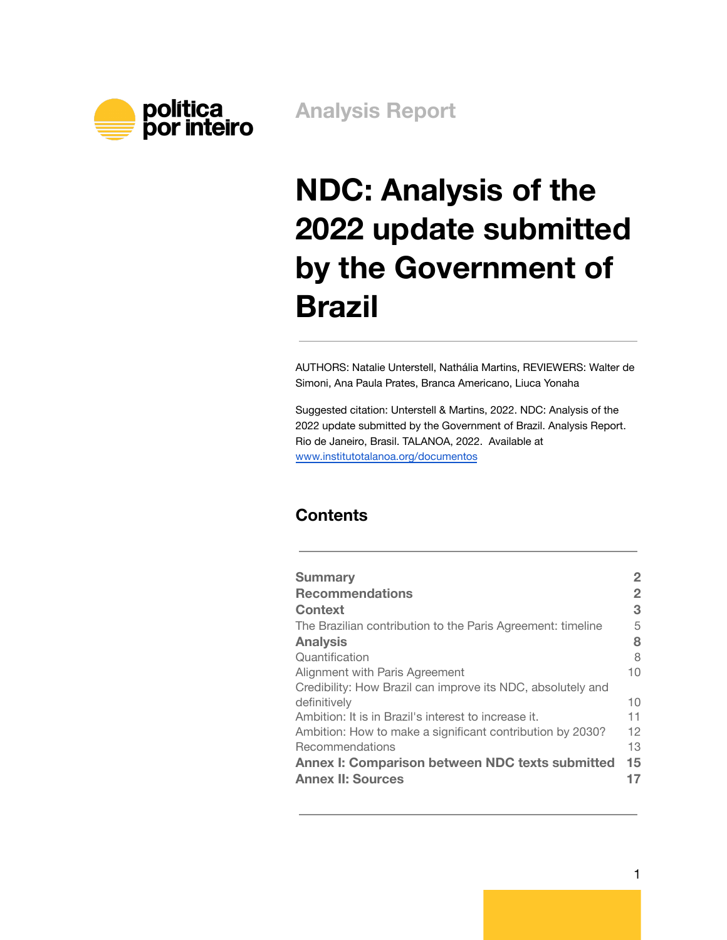

**Analysis Report**

# **NDC: Analysis of the 2022 update submitted by the Government of Brazil**

AUTHORS: Natalie Unterstell, Nathália Martins, REVIEWERS: Walter de Simoni, Ana Paula Prates, Branca Americano, Liuca Yonaha

Suggested citation: Unterstell & Martins, 2022. NDC: Analysis of the 2022 update submitted by the Government of Brazil. Analysis Report. Rio de Janeiro, Brasil. TALANOA, 2022. Available at [www.institutotalanoa.org/documentos](http://www.institutotalanoa.org/publicacoes)

#### **Contents**

| <b>Summary</b>                                              | 2      |
|-------------------------------------------------------------|--------|
| <b>Recommendations</b>                                      | 2      |
| <b>Context</b>                                              | 3      |
| The Brazilian contribution to the Paris Agreement: timeline | 5      |
| <b>Analysis</b>                                             | 8      |
| Quantification                                              | 8      |
| Alignment with Paris Agreement                              | 10     |
| Credibility: How Brazil can improve its NDC, absolutely and |        |
| definitively                                                | $10 -$ |
| Ambition: It is in Brazil's interest to increase it.        | 11     |
| Ambition: How to make a significant contribution by 2030?   | 12     |
| Recommendations                                             | 13     |
| Annex I: Comparison between NDC texts submitted             | 15     |
| <b>Annex II: Sources</b>                                    |        |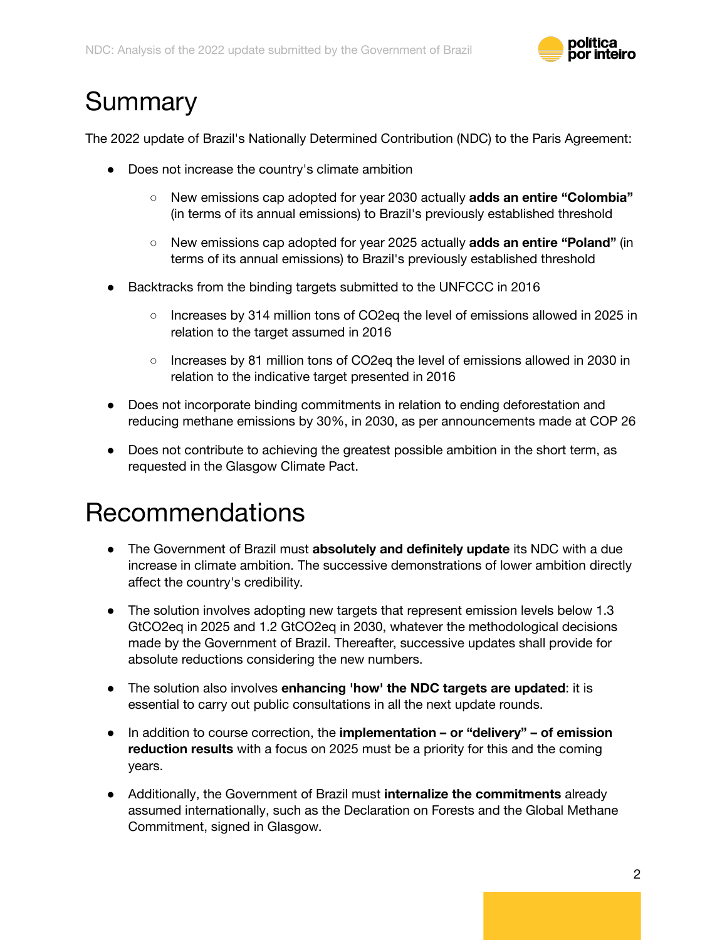

## <span id="page-1-0"></span>Summary

The 2022 update of Brazil's Nationally Determined Contribution (NDC) to the Paris Agreement:

- Does not increase the country's climate ambition
	- New emissions cap adopted for year 2030 actually **adds an entire "Colombia"** (in terms of its annual emissions) to Brazil's previously established threshold
	- New emissions cap adopted for year 2025 actually **adds an entire "Poland"** (in terms of its annual emissions) to Brazil's previously established threshold
- Backtracks from the binding targets submitted to the UNFCCC in 2016
	- Increases by 314 million tons of CO2eq the level of emissions allowed in 2025 in relation to the target assumed in 2016
	- Increases by 81 million tons of CO2eq the level of emissions allowed in 2030 in relation to the indicative target presented in 2016
- Does not incorporate binding commitments in relation to ending deforestation and reducing methane emissions by 30%, in 2030, as per announcements made at COP 26
- Does not contribute to achieving the greatest possible ambition in the short term, as requested in the Glasgow Climate Pact.

### <span id="page-1-1"></span>Recommendations

- The Government of Brazil must **absolutely and definitely update** its NDC with a due increase in climate ambition. The successive demonstrations of lower ambition directly affect the country's credibility.
- The solution involves adopting new targets that represent emission levels below 1.3 GtCO2eq in 2025 and 1.2 GtCO2eq in 2030, whatever the methodological decisions made by the Government of Brazil. Thereafter, successive updates shall provide for absolute reductions considering the new numbers.
- The solution also involves **enhancing 'how' the NDC targets are updated**: it is essential to carry out public consultations in all the next update rounds.
- In addition to course correction, the **implementation – or "delivery" – of emission reduction results** with a focus on 2025 must be a priority for this and the coming years.
- Additionally, the Government of Brazil must **internalize the commitments** already assumed internationally, such as the Declaration on Forests and the Global Methane Commitment, signed in Glasgow.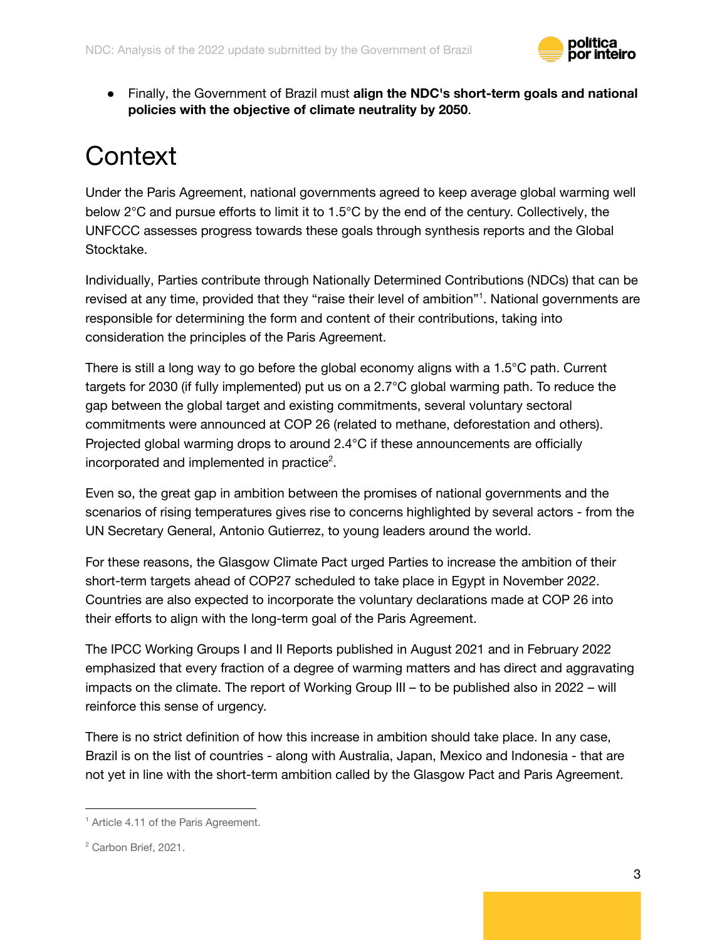

● Finally, the Government of Brazil must **align the NDC's short-term goals and national policies with the objective of climate neutrality by 2050**.

# <span id="page-2-0"></span>**Context**

Under the Paris Agreement, national governments agreed to keep average global warming well below 2°C and pursue efforts to limit it to 1.5°C by the end of the century. Collectively, the UNFCCC assesses progress towards these goals through synthesis reports and the Global Stocktake.

Individually, Parties contribute through Nationally Determined Contributions (NDCs) that can be revised at any time, provided that they "raise their level of ambition"<sup>1</sup>. National governments are responsible for determining the form and content of their contributions, taking into consideration the principles of the Paris Agreement.

There is still a long way to go before the global economy aligns with a 1.5°C path. Current targets for 2030 (if fully implemented) put us on a 2.7°C global warming path. To reduce the gap between the global target and existing commitments, several voluntary sectoral commitments were announced at COP 26 (related to methane, deforestation and others). Projected global warming drops to around 2.4°C if these announcements are officially incorporated and implemented in practice<sup>2</sup>.

Even so, the great gap in ambition between the promises of national governments and the scenarios of rising temperatures gives rise to concerns highlighted by several actors - from the UN Secretary General, Antonio Gutierrez, to young leaders around the world.

For these reasons, the Glasgow Climate Pact urged Parties to increase the ambition of their short-term targets ahead of COP27 scheduled to take place in Egypt in November 2022. Countries are also expected to incorporate the voluntary declarations made at COP 26 into their efforts to align with the long-term goal of the Paris Agreement.

The IPCC Working Groups I and II Reports published in August 2021 and in February 2022 emphasized that every fraction of a degree of warming matters and has direct and aggravating impacts on the climate. The report of Working Group III – to be published also in 2022 – will reinforce this sense of urgency.

There is no strict definition of how this increase in ambition should take place. In any case, Brazil is on the list of countries - along with Australia, Japan, Mexico and Indonesia - that are not yet in line with the short-term ambition called by the Glasgow Pact and Paris Agreement.

<sup>&</sup>lt;sup>1</sup> Article 4.11 of the Paris Agreement.

<sup>2</sup> Carbon Brief, 2021.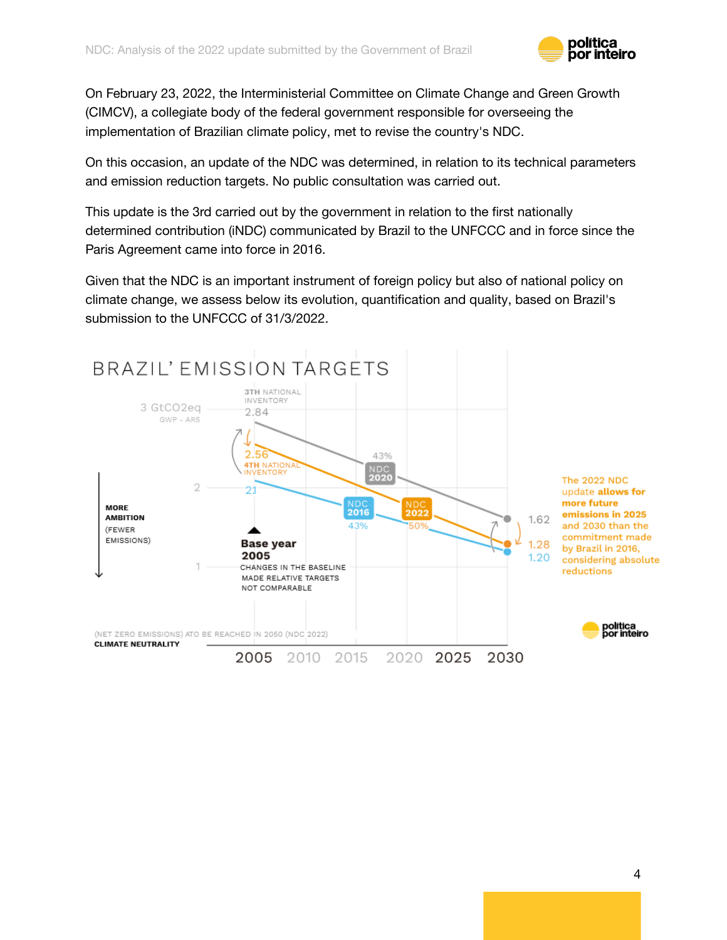

On February 23, 2022, the Interministerial Committee on Climate Change and Green Growth (CIMCV), a collegiate body of the federal government responsible for overseeing the implementation of Brazilian climate policy, met to revise the country's NDC.

On this occasion, an update of the NDC was determined, in relation to its technical parameters and emission reduction targets. No public consultation was carried out.

This update is the 3rd carried out by the government in relation to the first nationally determined contribution (iNDC) communicated by Brazil to the UNFCCC and in force since the Paris Agreement came into force in 2016.

Given that the NDC is an important instrument of foreign policy but also of national policy on climate change, we assess below its evolution, quantification and quality, based on Brazil's submission to the UNFCCC of 31/3/2022.

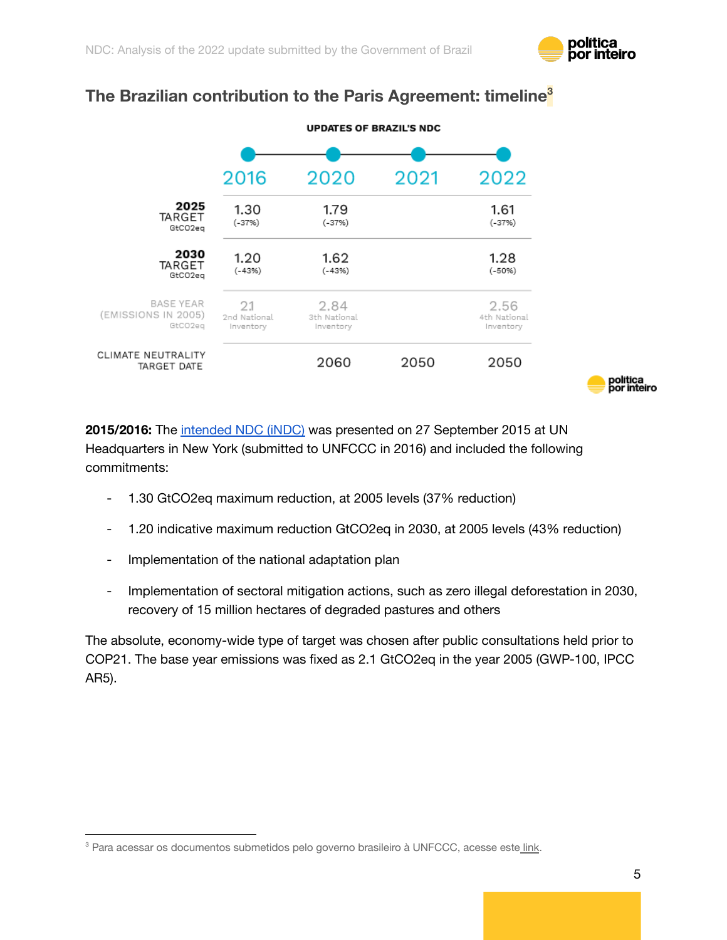

#### <span id="page-4-0"></span>**The Brazilian contribution to the Paris Agreement: timeline 3**



**2015/2016:** The [intended](https://www4.unfccc.int/sites/ndcstaging/PublishedDocuments/Brazil%20First/BRAZIL%20iNDC%20english%20FINAL.pdf) NDC (iNDC) was presented on 27 September 2015 at UN Headquarters in New York (submitted to UNFCCC in 2016) and included the following commitments:

- 1.30 GtCO2eq maximum reduction, at 2005 levels (37% reduction)
- 1.20 indicative maximum reduction GtCO2eq in 2030, at 2005 levels (43% reduction)
- Implementation of the national adaptation plan
- Implementation of sectoral mitigation actions, such as zero illegal deforestation in 2030, recovery of 15 million hectares of degraded pastures and others

The absolute, economy-wide type of target was chosen after public consultations held prior to COP21. The base year emissions was fixed as 2.1 GtCO2eq in the year 2005 (GWP-100, IPCC AR5).

<sup>&</sup>lt;sup>3</sup> Para acessar os documentos submetidos pelo governo brasileiro à UNFCCC, acesse este [link](https://www4.unfccc.int/sites/NDCStaging/pages/Party.aspx?party=BRA).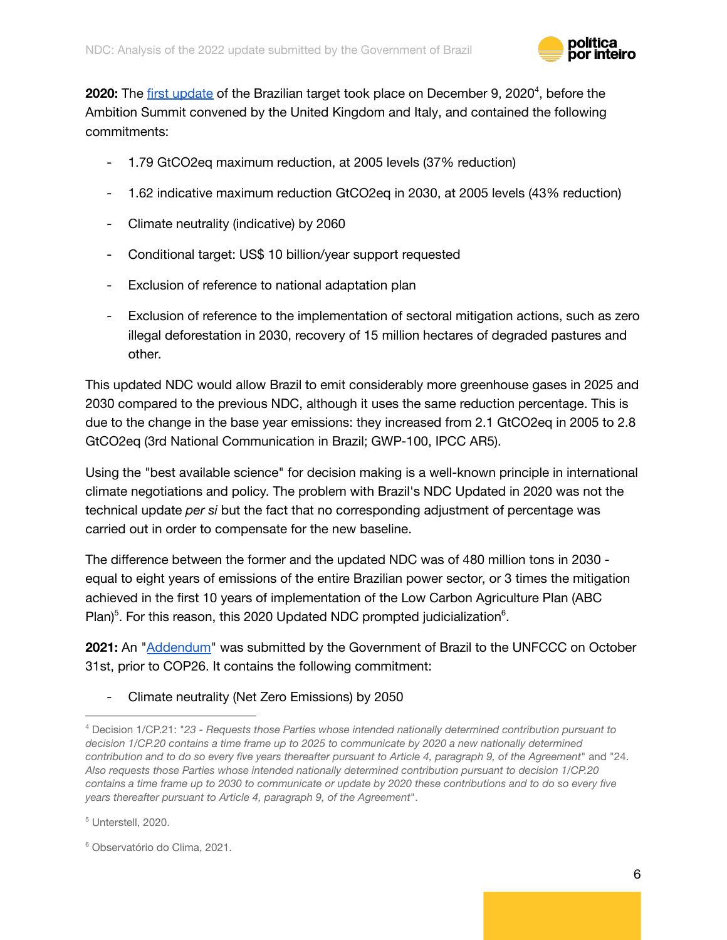

2020: The first [update](https://www4.unfccc.int/sites/ndcstaging/PublishedDocuments/Brazil%20First/Brazil%20First%20NDC%20(Updated%20submission).pdf) of the Brazilian target took place on December 9, 2020<sup>4</sup>, before the Ambition Summit convened by the United Kingdom and Italy, and contained the following commitments:

- 1.79 GtCO2eq maximum reduction, at 2005 levels (37% reduction)
- 1.62 indicative maximum reduction GtCO2eq in 2030, at 2005 levels (43% reduction)
- Climate neutrality (indicative) by 2060
- Conditional target: US\$ 10 billion/year support requested
- Exclusion of reference to national adaptation plan
- Exclusion of reference to the implementation of sectoral mitigation actions, such as zero illegal deforestation in 2030, recovery of 15 million hectares of degraded pastures and other.

This updated NDC would allow Brazil to emit considerably more greenhouse gases in 2025 and 2030 compared to the previous NDC, although it uses the same reduction percentage. This is due to the change in the base year emissions: they increased from 2.1 GtCO2eq in 2005 to 2.8 GtCO2eq (3rd National Communication in Brazil; GWP-100, IPCC AR5).

Using the "best available science" for decision making is a well-known principle in international climate negotiations and policy. The problem with Brazil's NDC Updated in 2020 was not the technical update *per si* but the fact that no corresponding adjustment of percentage was carried out in order to compensate for the new baseline.

The difference between the former and the updated NDC was of 480 million tons in 2030 equal to eight years of emissions of the entire Brazilian power sector, or 3 times the mitigation achieved in the first 10 years of implementation of the Low Carbon Agriculture Plan (ABC Plan) $5$ . For this reason, this 2020 Updated NDC prompted judicialization $6$ .

**2021:** An "[Addendum"](https://www4.unfccc.int/sites/ndcstaging/PublishedDocuments/Brazil%20First/2021%20-%20Carta%20MRE.pdf) was submitted by the Government of Brazil to the UNFCCC on October 31st, prior to COP26. It contains the following commitment:

Climate neutrality (Net Zero Emissions) by 2050

<sup>4</sup> Decision 1/CP.21: "*23 - Requests those Parties whose intended nationally determined contribution pursuant to decision 1/CP.20 contains a time frame up to 2025 to communicate by 2020 a new nationally determined contribution and to do so every five years thereafter pursuant to Article 4, paragraph 9, of the Agreement*" and "24. *Also requests those Parties whose intended nationally determined contribution pursuant to decision 1/CP.20 contains a time frame up to 2030 to communicate or update by 2020 these contributions and to do so every five years thereafter pursuant to Article 4, paragraph 9, of the Agreement*".

<sup>5</sup> Unterstell, 2020.

<sup>6</sup> Observatório do Clima, 2021.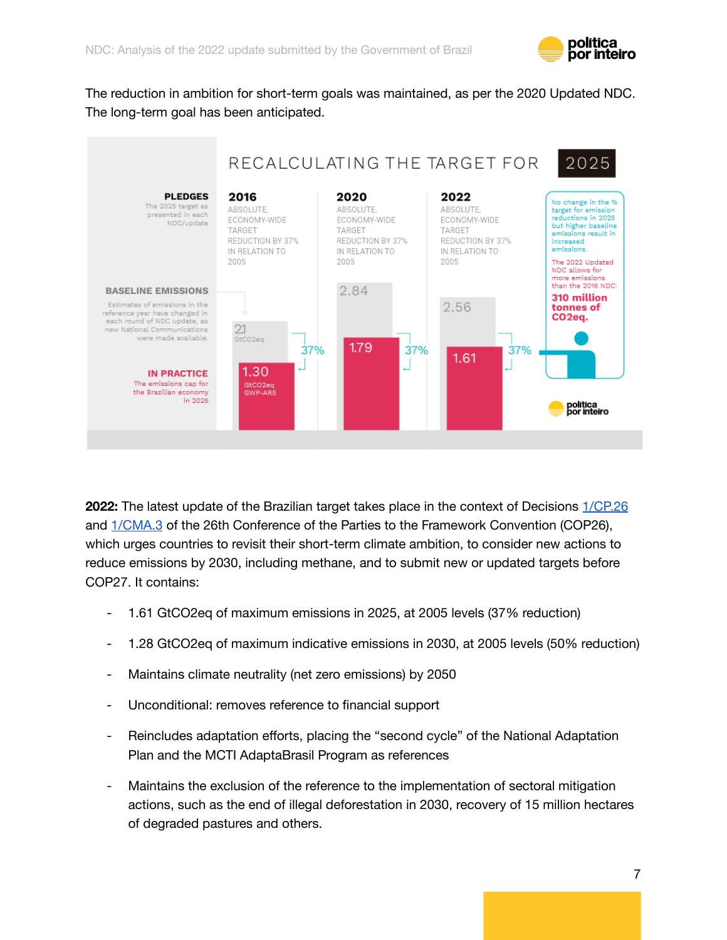#### The reduction in ambition for short-term goals was maintained, as per the 2020 Updated NDC. The long-term goal has been anticipated.



**2022:** The latest update of the Brazilian target takes place in the context of Decisions [1/CP.26](https://unfccc.int/sites/default/files/resource/cop26_auv_2f_cover_decision.pdf) and [1/CMA.3](https://unfccc.int/sites/default/files/resource/Overarching_decision_1-CMA-3_1.pdf) of the 26th Conference of the Parties to the Framework Convention (COP26), which urges countries to revisit their short-term climate ambition, to consider new actions to reduce emissions by 2030, including methane, and to submit new or updated targets before COP27. It contains:

- 1.61 GtCO2eq of maximum emissions in 2025, at 2005 levels (37% reduction)
- 1.28 GtCO2eq of maximum indicative emissions in 2030, at 2005 levels (50% reduction)
- Maintains climate neutrality (net zero emissions) by 2050
- Unconditional: removes reference to financial support
- Reincludes adaptation efforts, placing the "second cycle" of the National Adaptation Plan and the MCTI AdaptaBrasil Program as references
- Maintains the exclusion of the reference to the implementation of sectoral mitigation actions, such as the end of illegal deforestation in 2030, recovery of 15 million hectares of degraded pastures and others.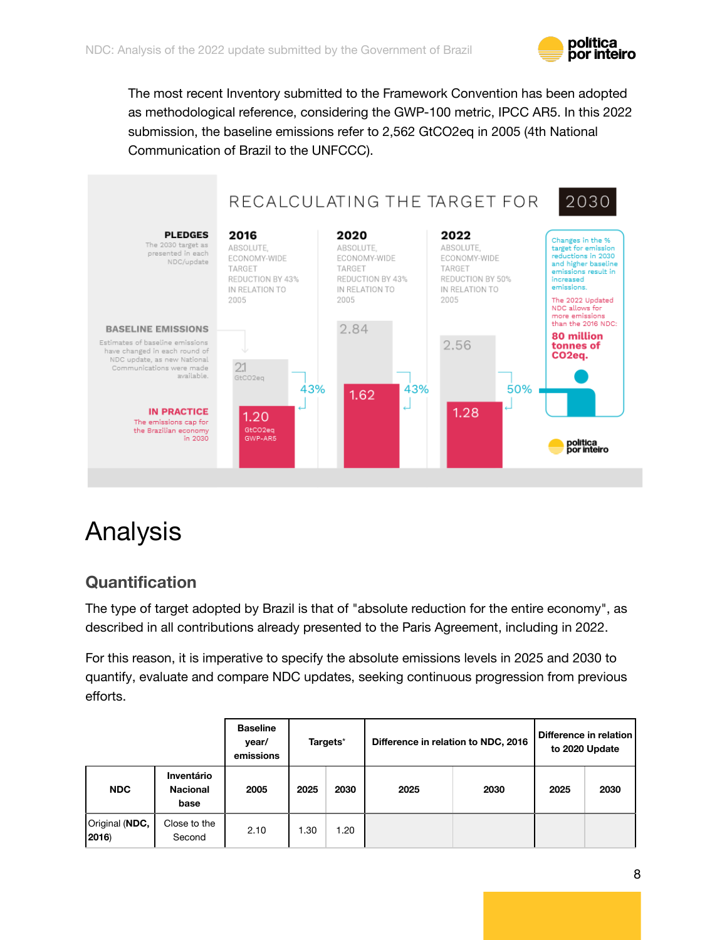

The most recent Inventory submitted to the Framework Convention has been adopted as methodological reference, considering the GWP-100 metric, IPCC AR5. In this 2022 submission, the baseline emissions refer to 2,562 GtCO2eq in 2005 (4th National Communication of Brazil to the UNFCCC).



# <span id="page-7-0"></span>Analysis

#### <span id="page-7-1"></span>**Quantification**

The type of target adopted by Brazil is that of "absolute reduction for the entire economy", as described in all contributions already presented to the Paris Agreement, including in 2022.

For this reason, it is imperative to specify the absolute emissions levels in 2025 and 2030 to quantify, evaluate and compare NDC updates, seeking continuous progression from previous efforts.

| <b>Baseline</b><br>year/<br>emissions |                                       |      | Targets* | Difference in relation to NDC, 2016 |      |      | Difference in relation<br>to 2020 Update |      |
|---------------------------------------|---------------------------------------|------|----------|-------------------------------------|------|------|------------------------------------------|------|
| <b>NDC</b>                            | Inventário<br><b>Nacional</b><br>base | 2005 | 2025     | 2030                                | 2025 | 2030 | 2025                                     | 2030 |
| Original (NDC,<br>2016)               | Close to the<br>Second                | 2.10 | 1.30     | 1.20                                |      |      |                                          |      |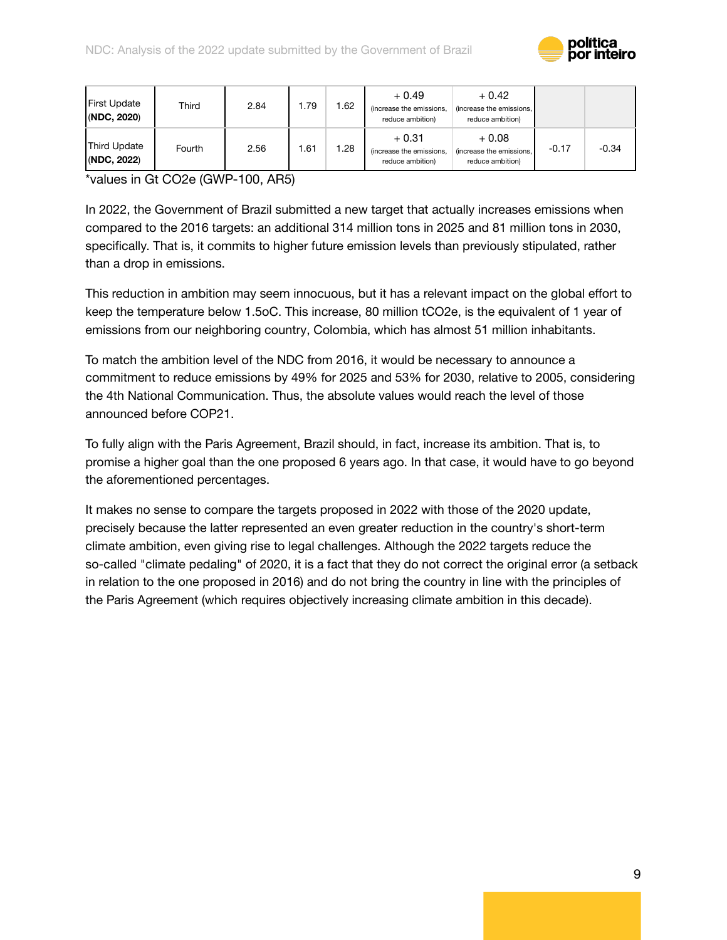

| <b>First Update</b><br>(NDC, 2020) | Third  | 2.84 | 79،، | .62 | $+0.49$<br>(increase the emissions,<br>reduce ambition) | $+0.42$<br>(increase the emissions,<br>reduce ambition) |         |         |
|------------------------------------|--------|------|------|-----|---------------------------------------------------------|---------------------------------------------------------|---------|---------|
| <b>Third Update</b><br>(NDC, 2022) | Fourth | 2.56 | l.61 | .28 | $+0.31$<br>(increase the emissions,<br>reduce ambition) | $+0.08$<br>(increase the emissions,<br>reduce ambition) | $-0.17$ | $-0.34$ |

\*values in Gt CO2e (GWP-100, AR5)

In 2022, the Government of Brazil submitted a new target that actually increases emissions when compared to the 2016 targets: an additional 314 million tons in 2025 and 81 million tons in 2030, specifically. That is, it commits to higher future emission levels than previously stipulated, rather than a drop in emissions.

This reduction in ambition may seem innocuous, but it has a relevant impact on the global effort to keep the temperature below 1.5oC. This increase, 80 million tCO2e, is the equivalent of 1 year of emissions from our neighboring country, Colombia, which has almost 51 million inhabitants.

To match the ambition level of the NDC from 2016, it would be necessary to announce a commitment to reduce emissions by 49% for 2025 and 53% for 2030, relative to 2005, considering the 4th National Communication. Thus, the absolute values would reach the level of those announced before COP21.

To fully align with the Paris Agreement, Brazil should, in fact, increase its ambition. That is, to promise a higher goal than the one proposed 6 years ago. In that case, it would have to go beyond the aforementioned percentages.

It makes no sense to compare the targets proposed in 2022 with those of the 2020 update, precisely because the latter represented an even greater reduction in the country's short-term climate ambition, even giving rise to legal challenges. Although the 2022 targets reduce the so-called "climate pedaling" of 2020, it is a fact that they do not correct the original error (a setback in relation to the one proposed in 2016) and do not bring the country in line with the principles of the Paris Agreement (which requires objectively increasing climate ambition in this decade).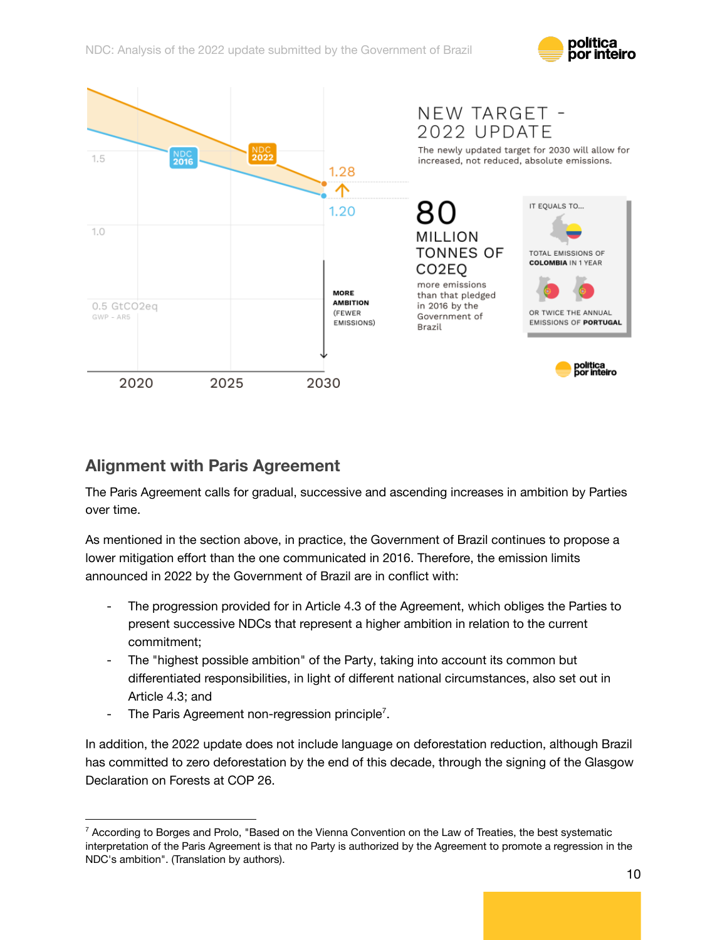



#### <span id="page-9-0"></span>**Alignment with Paris Agreement**

The Paris Agreement calls for gradual, successive and ascending increases in ambition by Parties over time.

As mentioned in the section above, in practice, the Government of Brazil continues to propose a lower mitigation effort than the one communicated in 2016. Therefore, the emission limits announced in 2022 by the Government of Brazil are in conflict with:

- The progression provided for in Article 4.3 of the Agreement, which obliges the Parties to present successive NDCs that represent a higher ambition in relation to the current commitment;
- The "highest possible ambition" of the Party, taking into account its common but differentiated responsibilities, in light of different national circumstances, also set out in Article 4.3; and
- The Paris Agreement non-regression principle<sup>7</sup>.

In addition, the 2022 update does not include language on deforestation reduction, although Brazil has committed to zero deforestation by the end of this decade, through the signing of the Glasgow Declaration on Forests at COP 26.

<sup>&</sup>lt;sup>7</sup> According to Borges and Prolo, "Based on the Vienna Convention on the Law of Treaties, the best systematic interpretation of the Paris Agreement is that no Party is authorized by the Agreement to promote a regression in the NDC's ambition". (Translation by authors).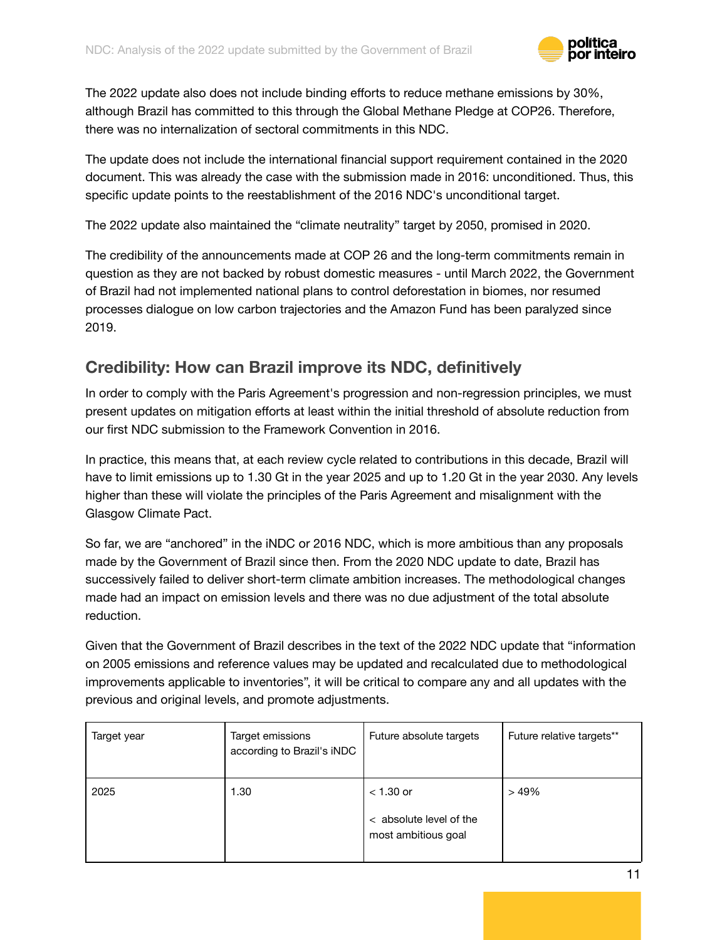

The 2022 update also does not include binding efforts to reduce methane emissions by 30%, although Brazil has committed to this through the Global Methane Pledge at COP26. Therefore, there was no internalization of sectoral commitments in this NDC.

The update does not include the international financial support requirement contained in the 2020 document. This was already the case with the submission made in 2016: unconditioned. Thus, this specific update points to the reestablishment of the 2016 NDC's unconditional target.

The 2022 update also maintained the "climate neutrality" target by 2050, promised in 2020.

The credibility of the announcements made at COP 26 and the long-term commitments remain in question as they are not backed by robust domestic measures - until March 2022, the Government of Brazil had not implemented national plans to control deforestation in biomes, nor resumed processes dialogue on low carbon trajectories and the Amazon Fund has been paralyzed since 2019.

#### <span id="page-10-0"></span>**Credibility: How can Brazil improve its NDC, definitively**

In order to comply with the Paris Agreement's progression and non-regression principles, we must present updates on mitigation efforts at least within the initial threshold of absolute reduction from our first NDC submission to the Framework Convention in 2016.

In practice, this means that, at each review cycle related to contributions in this decade, Brazil will have to limit emissions up to 1.30 Gt in the year 2025 and up to 1.20 Gt in the year 2030. Any levels higher than these will violate the principles of the Paris Agreement and misalignment with the Glasgow Climate Pact.

So far, we are "anchored" in the iNDC or 2016 NDC, which is more ambitious than any proposals made by the Government of Brazil since then. From the 2020 NDC update to date, Brazil has successively failed to deliver short-term climate ambition increases. The methodological changes made had an impact on emission levels and there was no due adjustment of the total absolute reduction.

Given that the Government of Brazil describes in the text of the 2022 NDC update that "information on 2005 emissions and reference values may be updated and recalculated due to methodological improvements applicable to inventories", it will be critical to compare any and all updates with the previous and original levels, and promote adjustments.

| Target year | Target emissions<br>according to Brazil's iNDC | Future absolute targets                                               | Future relative targets** |
|-------------|------------------------------------------------|-----------------------------------------------------------------------|---------------------------|
| 2025        | 1.30                                           | $<$ 1.30 or<br>$\langle$ absolute level of the<br>most ambitious goal | >49%                      |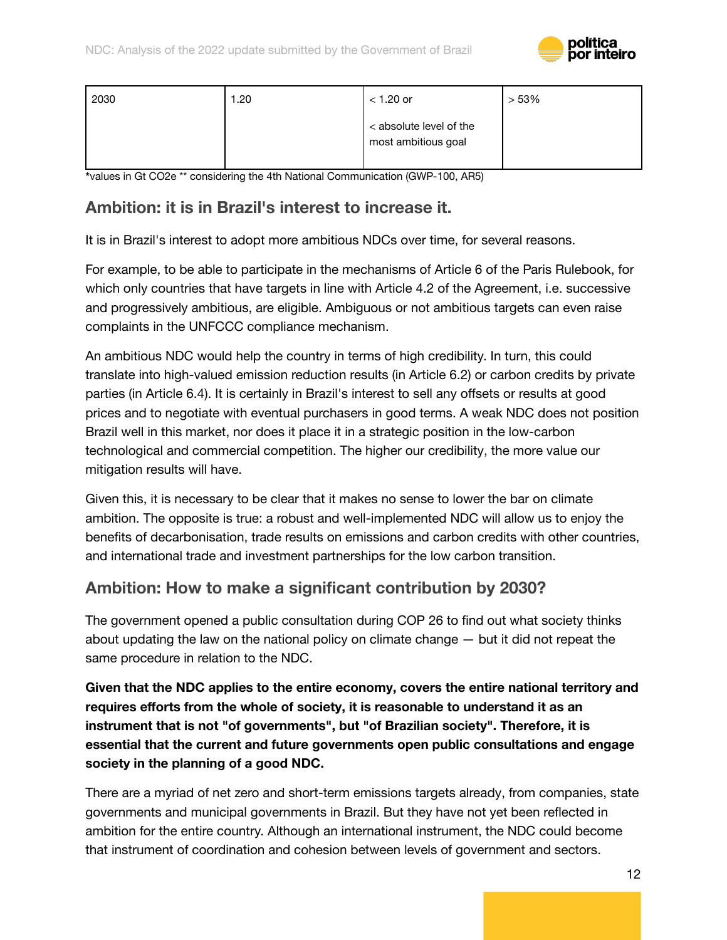

| 2030 | 1.20 | $<$ 1.20 or                                    | >53% |
|------|------|------------------------------------------------|------|
|      |      | < absolute level of the<br>most ambitious goal |      |

**\***values in Gt CO2e \*\* considering the 4th National Communication (GWP-100, AR5)

#### <span id="page-11-0"></span>**Ambition: it is in Brazil's interest to increase it.**

It is in Brazil's interest to adopt more ambitious NDCs over time, for several reasons.

For example, to be able to participate in the mechanisms of Article 6 of the Paris Rulebook, for which only countries that have targets in line with Article 4.2 of the Agreement, i.e. successive and progressively ambitious, are eligible. Ambiguous or not ambitious targets can even raise complaints in the UNFCCC compliance mechanism.

An ambitious NDC would help the country in terms of high credibility. In turn, this could translate into high-valued emission reduction results (in Article 6.2) or carbon credits by private parties (in Article 6.4). It is certainly in Brazil's interest to sell any offsets or results at good prices and to negotiate with eventual purchasers in good terms. A weak NDC does not position Brazil well in this market, nor does it place it in a strategic position in the low-carbon technological and commercial competition. The higher our credibility, the more value our mitigation results will have.

Given this, it is necessary to be clear that it makes no sense to lower the bar on climate ambition. The opposite is true: a robust and well-implemented NDC will allow us to enjoy the benefits of decarbonisation, trade results on emissions and carbon credits with other countries, and international trade and investment partnerships for the low carbon transition.

#### <span id="page-11-1"></span>**Ambition: How to make a significant contribution by 2030?**

The government opened a public consultation during COP 26 to find out what society thinks about updating the law on the national policy on climate change — but it did not repeat the same procedure in relation to the NDC.

**Given that the NDC applies to the entire economy, covers the entire national territory and requires efforts from the whole of society, it is reasonable to understand it as an instrument that is not "of governments", but "of Brazilian society". Therefore, it is essential that the current and future governments open public consultations and engage society in the planning of a good NDC.**

There are a myriad of net zero and short-term emissions targets already, from companies, state governments and municipal governments in Brazil. But they have not yet been reflected in ambition for the entire country. Although an international instrument, the NDC could become that instrument of coordination and cohesion between levels of government and sectors.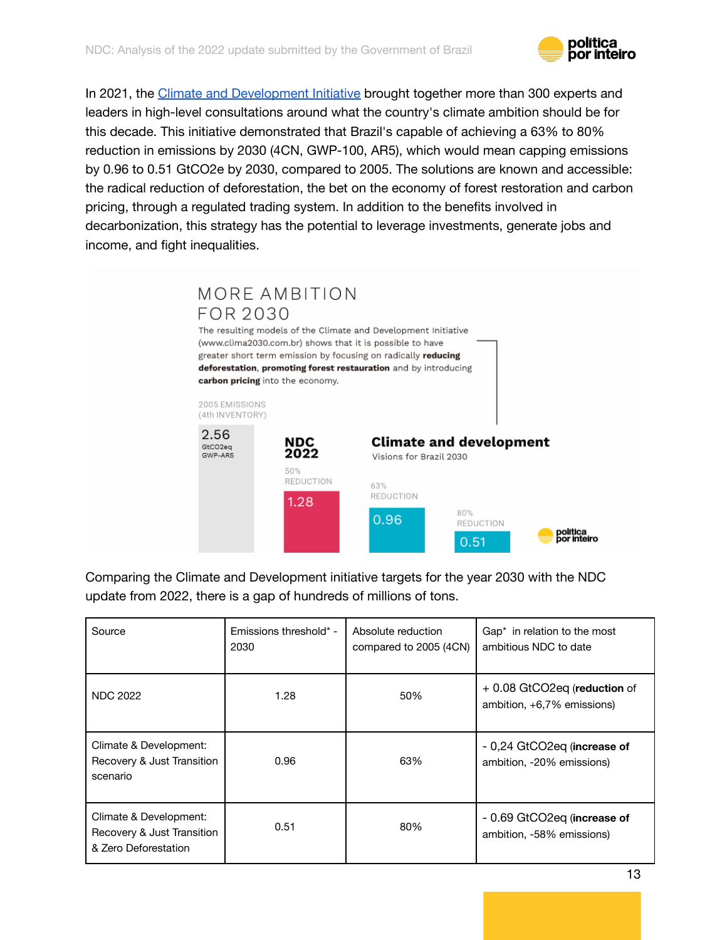

In 2021, the Climate and [Development](https://www.clima2030.com.br/) Initiative brought together more than 300 experts and leaders in high-level consultations around what the country's climate ambition should be for this decade. This initiative demonstrated that Brazil's capable of achieving a 63% to 80% reduction in emissions by 2030 (4CN, GWP-100, AR5), which would mean capping emissions by 0.96 to 0.51 GtCO2e by 2030, compared to 2005. The solutions are known and accessible: the radical reduction of deforestation, the bet on the economy of forest restoration and carbon pricing, through a regulated trading system. In addition to the benefits involved in decarbonization, this strategy has the potential to leverage investments, generate jobs and income, and fight inequalities.



Comparing the Climate and Development initiative targets for the year 2030 with the NDC update from 2022, there is a gap of hundreds of millions of tons.

| Source                                                                       | Emissions threshold* -<br>2030 | Absolute reduction<br>compared to 2005 (4CN) | Gap <sup>*</sup> in relation to the most<br>ambitious NDC to date |
|------------------------------------------------------------------------------|--------------------------------|----------------------------------------------|-------------------------------------------------------------------|
| <b>NDC 2022</b>                                                              | 1.28                           | 50%                                          | $+0.08$ GtCO2eq (reduction of<br>ambition, +6,7% emissions)       |
| Climate & Development:<br>Recovery & Just Transition<br>scenario             | 0.96                           | 63%                                          | - 0,24 GtCO2eq (increase of<br>ambition, -20% emissions)          |
| Climate & Development:<br>Recovery & Just Transition<br>& Zero Deforestation | 0.51                           | 80%                                          | - 0.69 GtCO2eq (increase of<br>ambition, -58% emissions)          |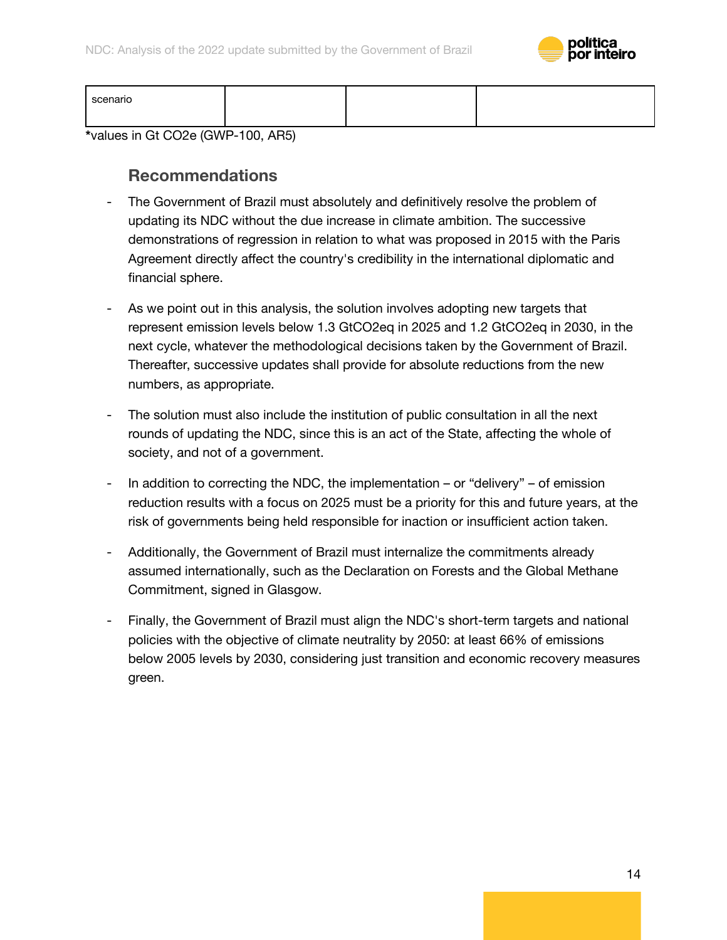

| scenario |  |  |
|----------|--|--|
|          |  |  |

<span id="page-13-0"></span>**\***values in Gt CO2e (GWP-100, AR5)

#### **Recommendations**

- The Government of Brazil must absolutely and definitively resolve the problem of updating its NDC without the due increase in climate ambition. The successive demonstrations of regression in relation to what was proposed in 2015 with the Paris Agreement directly affect the country's credibility in the international diplomatic and financial sphere.
- As we point out in this analysis, the solution involves adopting new targets that represent emission levels below 1.3 GtCO2eq in 2025 and 1.2 GtCO2eq in 2030, in the next cycle, whatever the methodological decisions taken by the Government of Brazil. Thereafter, successive updates shall provide for absolute reductions from the new numbers, as appropriate.
- The solution must also include the institution of public consultation in all the next rounds of updating the NDC, since this is an act of the State, affecting the whole of society, and not of a government.
- In addition to correcting the NDC, the implementation or "delivery" of emission reduction results with a focus on 2025 must be a priority for this and future years, at the risk of governments being held responsible for inaction or insufficient action taken.
- Additionally, the Government of Brazil must internalize the commitments already assumed internationally, such as the Declaration on Forests and the Global Methane Commitment, signed in Glasgow.
- Finally, the Government of Brazil must align the NDC's short-term targets and national policies with the objective of climate neutrality by 2050: at least 66% of emissions below 2005 levels by 2030, considering just transition and economic recovery measures green.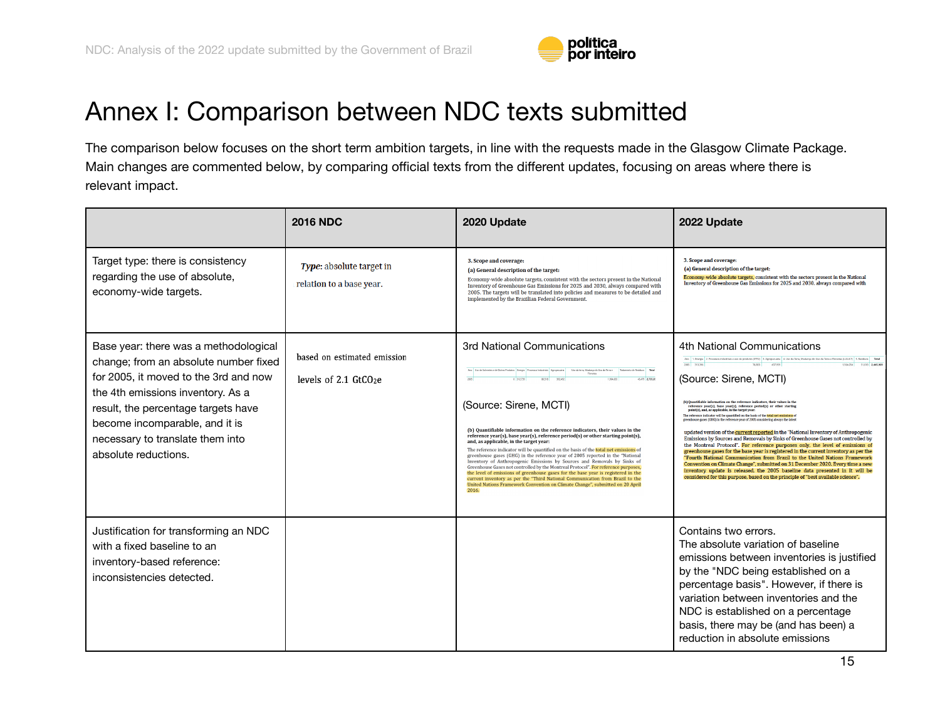

### Annex I: Comparison between NDC texts submitted

The comparison below focuses on the short term ambition targets, in line with the requests made in the Glasgow Climate Package. Main changes are commented below, by comparing official texts from the different updates, focusing on areas where there is relevant impact.

<span id="page-14-0"></span>

|                                                                                                                                                                                                                                                                                                   | <b>2016 NDC</b>                                                    | 2020 Update                                                                                                                                                                                                                                                                                                                                                                                                                                                                                                                                                                                                                                                                                                                                                                                                                                                                                                                                                                                                                                                                                   | 2022 Update                                                                                                                                                                                                                                                                                                                                                                                                                                                                                                                                                                                                                                                                                                                                                                                                                                                                                                                                                                                                                                                                                                                                                                                                                                                                                                                                                                       |
|---------------------------------------------------------------------------------------------------------------------------------------------------------------------------------------------------------------------------------------------------------------------------------------------------|--------------------------------------------------------------------|-----------------------------------------------------------------------------------------------------------------------------------------------------------------------------------------------------------------------------------------------------------------------------------------------------------------------------------------------------------------------------------------------------------------------------------------------------------------------------------------------------------------------------------------------------------------------------------------------------------------------------------------------------------------------------------------------------------------------------------------------------------------------------------------------------------------------------------------------------------------------------------------------------------------------------------------------------------------------------------------------------------------------------------------------------------------------------------------------|-----------------------------------------------------------------------------------------------------------------------------------------------------------------------------------------------------------------------------------------------------------------------------------------------------------------------------------------------------------------------------------------------------------------------------------------------------------------------------------------------------------------------------------------------------------------------------------------------------------------------------------------------------------------------------------------------------------------------------------------------------------------------------------------------------------------------------------------------------------------------------------------------------------------------------------------------------------------------------------------------------------------------------------------------------------------------------------------------------------------------------------------------------------------------------------------------------------------------------------------------------------------------------------------------------------------------------------------------------------------------------------|
| Target type: there is consistency<br>regarding the use of absolute,<br>economy-wide targets.                                                                                                                                                                                                      | Type: absolute target in<br>relation to a base year.               | 3. Scope and coverage:<br>(a) General description of the target:<br>Economy-wide absolute targets, consistent with the sectors present in the National<br>Inventory of Greenhouse Gas Emissions for 2025 and 2030, always compared with<br>2005. The targets will be translated into policies and measures to be detailed and<br>implemented by the Brazilian Federal Government.                                                                                                                                                                                                                                                                                                                                                                                                                                                                                                                                                                                                                                                                                                             | 3. Scope and coverage:<br>(a) General description of the target:<br>Economy-wide absolute targets, consistent with the sectors present in the National<br>Inventory of Greenhouse Gas Emissions for 2025 and 2030, always compared with                                                                                                                                                                                                                                                                                                                                                                                                                                                                                                                                                                                                                                                                                                                                                                                                                                                                                                                                                                                                                                                                                                                                           |
| Base year: there was a methodological<br>change; from an absolute number fixed<br>for 2005, it moved to the 3rd and now<br>the 4th emissions inventory. As a<br>result, the percentage targets have<br>become incomparable, and it is<br>necessary to translate them into<br>absolute reductions. | based on estimated emission<br>levels of $2.1$ GtCO <sub>2</sub> e | 3rd National Communications<br>no Uso de Solventes e de Outros Produtos Energia Processos Industriais Agropecuária Uso da terra, Mudança do Uso da Terra e Tratamento de Residuos Total<br>$m \times n$<br>0.112710<br>45.470 2.735.88<br>(Source: Sirene, MCTI)<br>(b) Quantifiable information on the reference indicators, their values in the<br>reference year(s), base year(s), reference period(s) or other starting point(s),<br>and, as applicable, in the target year:<br>The reference indicator will be quantified on the basis of the total net emissions of<br>greenhouse gases (GHG) in the reference year of 2005 reported in the "National<br>Inventory of Anthropogenic Emissions by Sources and Removals by Sinks of<br>Greenhouse Gases not controlled by the Montreal Protocol". For reference purposes,<br>the level of emissions of greenhouse gases for the base vear is registered in the<br>current inventory as per the "Third National Communication from Brazil to the<br>United Nations Framework Convention on Climate Change", submitted on 20 April<br>2016. | 4th National Communications<br>Ano 1. Energia 2. Processos industriais e uso de produtos (PPU) 3. Agropecuária 4. Uso da Terra, Mudança do Uso da Terra e Florestas (LULUCF) 5. Residuos <b>Total</b><br>2005 313.306<br>28.683 437.959<br>1.564.054 51.618 2.445.90<br>(Source: Sirene, MCTI)<br>(b) Quantifiable information on the reference indicators, their values in t<br>reference year(s), base year(s), reference period(s) or other starting<br>point(s), and, as applicable, in the target year:<br>The reference indicator will be quantified on the basis of the total net emissions<br>greenhouse gases (GHG) in the reference year of 2005 considering always the latest<br>updated version of the current reported in the "National Inventory of Anthropogenic<br>Emissions by Sources and Removals by Sinks of Greenhouse Gases not controlled by<br>the Montreal Protocol". For reference purposes only, the level of emissions of<br>greenhouse gases for the base year is registered in the current inventory as per the<br>"Fourth National Communication from Brazil to the United Nations Framework<br>Convention on Climate Change", submitted on 31 December 2020. Every time a new<br>inventory update is released, the 2005 baseline data presented in it will be<br>considered for this purpose, based on the principle of "best available science". |
| Justification for transforming an NDC<br>with a fixed baseline to an<br>inventory-based reference:<br>inconsistencies detected.                                                                                                                                                                   |                                                                    |                                                                                                                                                                                                                                                                                                                                                                                                                                                                                                                                                                                                                                                                                                                                                                                                                                                                                                                                                                                                                                                                                               | Contains two errors.<br>The absolute variation of baseline<br>emissions between inventories is justified<br>by the "NDC being established on a<br>percentage basis". However, if there is<br>variation between inventories and the<br>NDC is established on a percentage<br>basis, there may be (and has been) a<br>reduction in absolute emissions                                                                                                                                                                                                                                                                                                                                                                                                                                                                                                                                                                                                                                                                                                                                                                                                                                                                                                                                                                                                                               |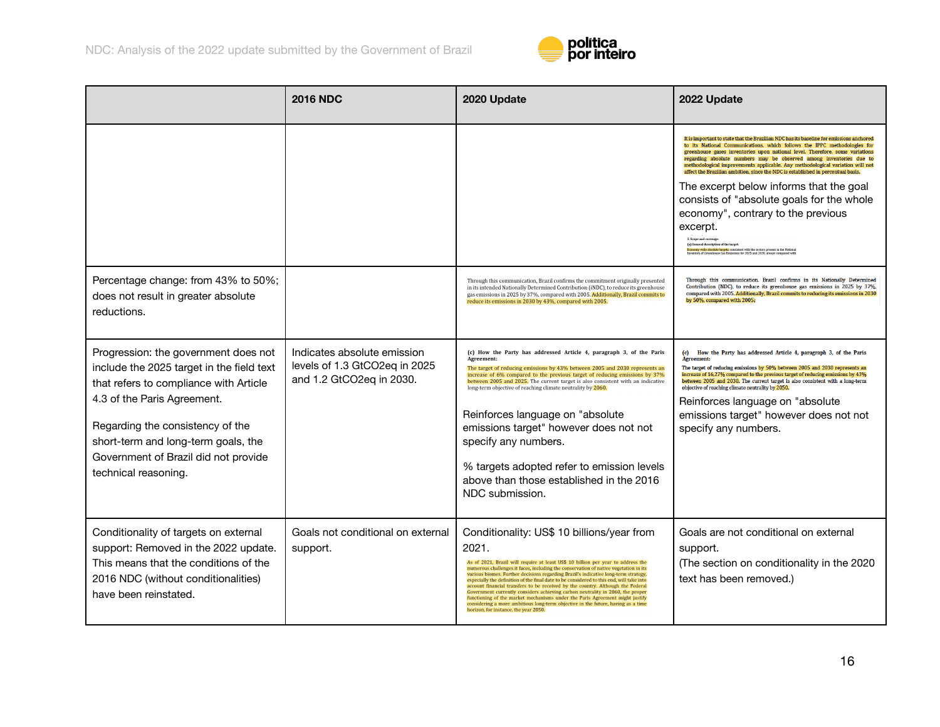

|                                                                                                                                                                                                                                                                                                       | <b>2016 NDC</b>                                                                          | 2020 Update                                                                                                                                                                                                                                                                                                                                                                                                                                                                                                                                                                                                                                                                                                                                                                                          | 2022 Update                                                                                                                                                                                                                                                                                                                                                                                                                                                                                                                                                                                                                                                                                                                                                                                                                                                        |
|-------------------------------------------------------------------------------------------------------------------------------------------------------------------------------------------------------------------------------------------------------------------------------------------------------|------------------------------------------------------------------------------------------|------------------------------------------------------------------------------------------------------------------------------------------------------------------------------------------------------------------------------------------------------------------------------------------------------------------------------------------------------------------------------------------------------------------------------------------------------------------------------------------------------------------------------------------------------------------------------------------------------------------------------------------------------------------------------------------------------------------------------------------------------------------------------------------------------|--------------------------------------------------------------------------------------------------------------------------------------------------------------------------------------------------------------------------------------------------------------------------------------------------------------------------------------------------------------------------------------------------------------------------------------------------------------------------------------------------------------------------------------------------------------------------------------------------------------------------------------------------------------------------------------------------------------------------------------------------------------------------------------------------------------------------------------------------------------------|
|                                                                                                                                                                                                                                                                                                       |                                                                                          |                                                                                                                                                                                                                                                                                                                                                                                                                                                                                                                                                                                                                                                                                                                                                                                                      | It is important to state that the Brazilian NDC has its baseline for emissions anchored<br>to its National Communications, which follows the IPPC methodologies for<br>greenhouse gases inventories upon national level. Therefore, some variations<br>regarding absolute numbers may be observed among inventories due to<br>methodological improvements applicable. Any methodological variation will not<br>affect the Brazilian ambition, since the NDC is established in percentual basis.<br>The excerpt below informs that the goal<br>consists of "absolute goals for the whole<br>economy", contrary to the previous<br>excerpt.<br>3. Scope and coverage<br>(a) General description of the target:<br>ny-wide absolute targets, consistent with the sectors present in the Natio<br>ary of Greenhouse Gas Emissions for 2025 and 2030, always compared w |
| Percentage change: from 43% to 50%;<br>does not result in greater absolute<br>reductions.                                                                                                                                                                                                             |                                                                                          | Through this communication, Brazil confirms the commitment originally presented<br>in its intended Nationally Determined Contribution (iNDC), to reduce its greenhouse<br>gas emissions in 2025 by 37%, compared with 2005. Additionally, Brazil commits to<br>reduce its emissions in 2030 by 43%, compared with 2005.                                                                                                                                                                                                                                                                                                                                                                                                                                                                              | Through this communication, Brazil confirms in its Nationally Determined<br>Contribution (NDC), to reduce its greenhouse gas emissions in 2025 by 37%,<br>compared with 2005. Additionally, Brazil commits to reducing its emissions in 2030<br>by 50%, compared with 2005.                                                                                                                                                                                                                                                                                                                                                                                                                                                                                                                                                                                        |
| Progression: the government does not<br>include the 2025 target in the field text<br>that refers to compliance with Article<br>4.3 of the Paris Agreement.<br>Regarding the consistency of the<br>short-term and long-term goals, the<br>Government of Brazil did not provide<br>technical reasoning. | Indicates absolute emission<br>levels of 1.3 GtCO2eq in 2025<br>and 1.2 GtCO2eq in 2030. | (c) How the Party has addressed Article 4, paragraph 3, of the Paris<br>Agreement:<br>The target of reducing emissions by 43% between 2005 and 2030 represents an<br>increase of 6% compared to the previous target of reducing emissions by 37%<br>between 2005 and 2025. The current target is also consistent with an indicative<br>long-term objective of reaching climate neutrality by 2060.<br>Reinforces language on "absolute<br>emissions target" however does not not<br>specify any numbers.<br>% targets adopted refer to emission levels<br>above than those established in the 2016<br>NDC submission.                                                                                                                                                                                | (c) How the Party has addressed Article 4, paragraph 3, of the Paris<br>Agreement:<br>The target of reducing emissions by 50% between 2005 and 2030 represents an<br>increase of 16,27% compared to the previous target of reducing emissions by 43%<br>between 2005 and 2030. The current target is also consistent with a long-term<br>objective of reaching climate neutrality by 2050.<br>Reinforces language on "absolute"<br>emissions target" however does not not<br>specify any numbers.                                                                                                                                                                                                                                                                                                                                                                  |
| Conditionality of targets on external<br>support: Removed in the 2022 update.<br>This means that the conditions of the<br>2016 NDC (without conditionalities)<br>have been reinstated.                                                                                                                | Goals not conditional on external<br>support.                                            | Conditionality: US\$ 10 billions/year from<br>2021.<br>As of 2021, Brazil will require at least US\$ 10 billion per year to address the<br>numerous challenges it faces, including the conservation of native vegetation in its<br>various biomes. Further decisions regarding Brazil's indicative long-term strategy,<br>especially the definition of the final date to be considered to this end, will take into<br>account financial transfers to be received by the country. Although the Federal<br>Government currently considers achieving carbon neutrality in 2060, the proper<br>functioning of the market mechanisms under the Paris Agreement might justify<br>considering a more ambitious long-term objective in the future, having as a time<br>horizon, for instance, the year 2050. | Goals are not conditional on external<br>support.<br>(The section on conditionality in the 2020<br>text has been removed.)                                                                                                                                                                                                                                                                                                                                                                                                                                                                                                                                                                                                                                                                                                                                         |